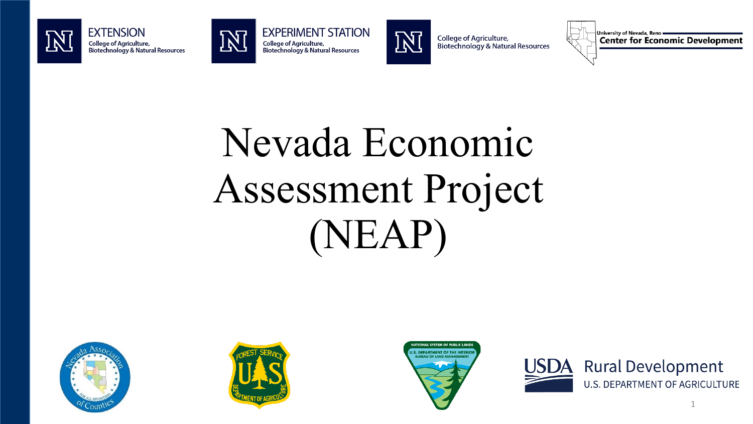



ГŹ





**College of Agriculture,** Biotechnology & Natural Resources

University of Nevada, Reno = **Center for Economic Development** 

## Nevada Economic Assessment Project (NEAP)







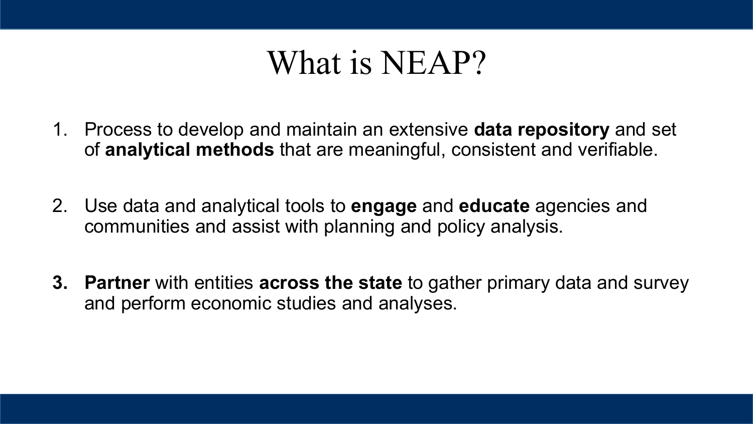#### What is NEAP?

- 1. Process to develop and maintain an extensive **data repository** and set of **analytical methods** that are meaningful, consistent and verifiable.
- 2. Use data and analytical tools to **engage** and **educate** agencies and communities and assist with planning and policy analysis.
- **3. Partner** with entities **across the state** to gather primary data and survey and perform economic studies and analyses.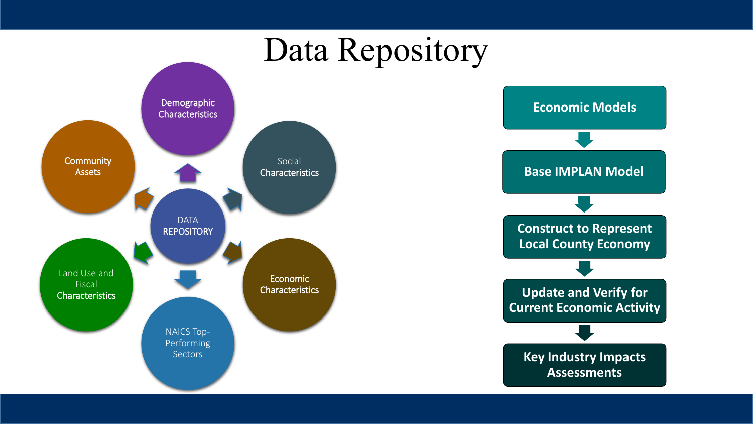### Data Repository



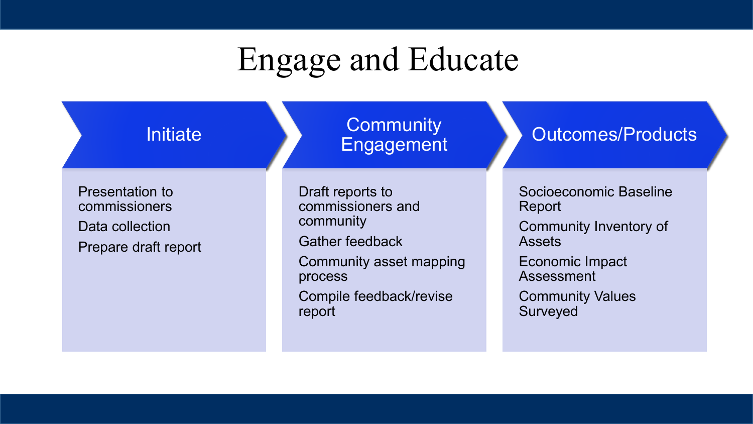## Engage and Educate

| <b>Initiate</b>                                                                    | Community<br>Engagement                                                                                                                                 | <b>Outcomes/Products</b>                                                                                                                            |
|------------------------------------------------------------------------------------|---------------------------------------------------------------------------------------------------------------------------------------------------------|-----------------------------------------------------------------------------------------------------------------------------------------------------|
| <b>Presentation to</b><br>commissioners<br>Data collection<br>Prepare draft report | Draft reports to<br>commissioners and<br>community<br><b>Gather feedback</b><br>Community asset mapping<br>process<br>Compile feedback/revise<br>report | Socioeconomic Baseline<br>Report<br>Community Inventory of<br><b>Assets</b><br>Economic Impact<br>Assessment<br><b>Community Values</b><br>Surveyed |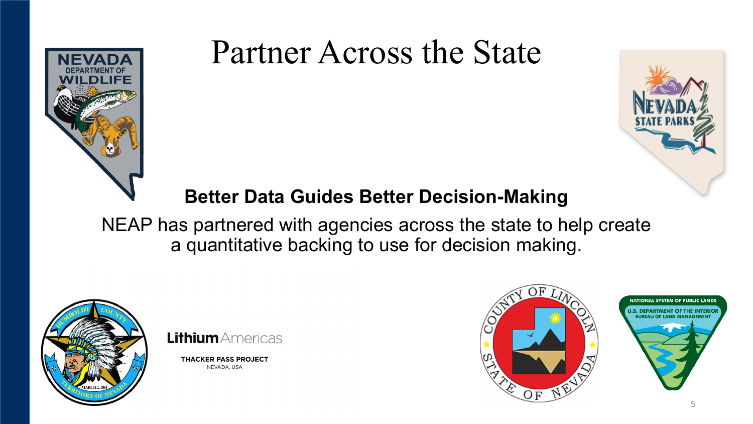

### Partner Across the State



#### **Better Data Guides Better Decision-Making**

NEAP has partnered with agencies across the state to help create a quantitative backing to use for decision making.





**THACKER PASS PROJECT** NEVADA, USA

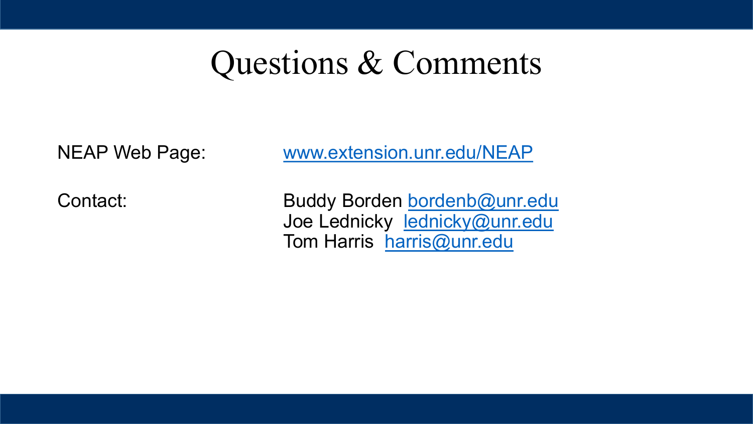#### Questions & Comments

#### NEAP Web Page: [www.extension.unr.edu/NEAP](http://www.extension.unr.edu/NEAP)

Contact: Buddy Borden [bordenb@unr.edu](mailto:bordenb@unr.edu) Joe Lednicky [lednicky@unr.edu](mailto:lednicky@unr.edu) Tom Harris [harris@unr.edu](mailto:harris@unr.edu)